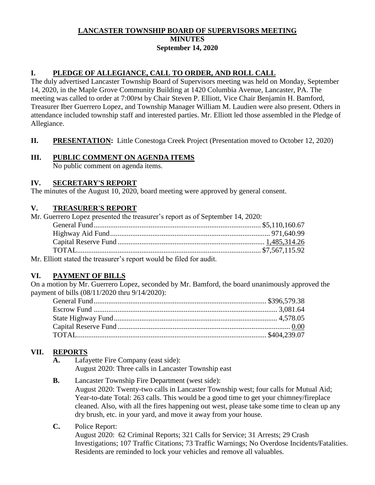# **LANCASTER TOWNSHIP BOARD OF SUPERVISORS MEETING MINUTES September 14, 2020**

#### **I. PLEDGE OF ALLEGIANCE, CALL TO ORDER, AND ROLL CALL**

The duly advertised Lancaster Township Board of Supervisors meeting was held on Monday, September 14, 2020, in the Maple Grove Community Building at 1420 Columbia Avenue, Lancaster, PA. The meeting was called to order at 7:00PM by Chair Steven P. Elliott, Vice Chair Benjamin H. Bamford, Treasurer Iber Guerrero Lopez, and Township Manager William M. Laudien were also present. Others in attendance included township staff and interested parties. Mr. Elliott led those assembled in the Pledge of Allegiance.

**II. PRESENTATION:** Little Conestoga Creek Project (Presentation moved to October 12, 2020)

## **III. PUBLIC COMMENT ON AGENDA ITEMS**

No public comment on agenda items.

#### **IV. SECRETARY'S REPORT**

The minutes of the August 10, 2020, board meeting were approved by general consent.

#### **V. TREASURER'S REPORT**

| Mr. Guerrero Lopez presented the treasurer's report as of September 14, 2020: |  |
|-------------------------------------------------------------------------------|--|
|                                                                               |  |
|                                                                               |  |
|                                                                               |  |
|                                                                               |  |
|                                                                               |  |

Mr. Elliott stated the treasurer's report would be filed for audit.

## **VI. PAYMENT OF BILLS**

On a motion by Mr. Guerrero Lopez, seconded by Mr. Bamford, the board unanimously approved the payment of bills (08/11/2020 thru 9/14/2020):

# **VII. REPORTS**

- **A.** Lafayette Fire Company (east side): August 2020: Three calls in Lancaster Township east
- **B.** Lancaster Township Fire Department (west side): August 2020: Twenty-two calls in Lancaster Township west; four calls for Mutual Aid; Year-to-date Total: 263 calls. This would be a good time to get your chimney/fireplace cleaned. Also, with all the fires happening out west, please take some time to clean up any dry brush, etc. in your yard, and move it away from your house.
- **C.** Police Report:

August 2020: 62 Criminal Reports; 321 Calls for Service; 31 Arrests; 29 Crash Investigations; 107 Traffic Citations; 73 Traffic Warnings; No Overdose Incidents/Fatalities. Residents are reminded to lock your vehicles and remove all valuables.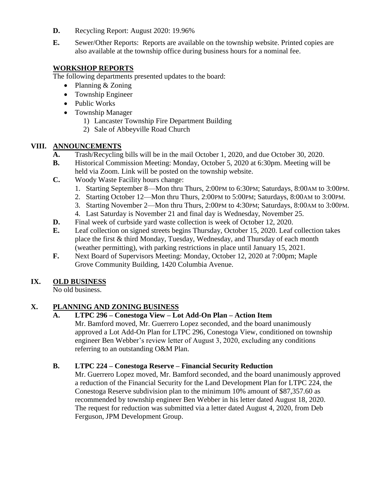- **D.** Recycling Report: August 2020: 19.96%
- **E.** Sewer/Other Reports: Reports are available on the township website. Printed copies are also available at the township office during business hours for a nominal fee.

# **WORKSHOP REPORTS**

The following departments presented updates to the board:

- Planning & Zoning
- Township Engineer
- Public Works
- Township Manager
	- 1) Lancaster Township Fire Department Building
	- 2) Sale of Abbeyville Road Church

# **VIII. ANNOUNCEMENTS**

- **A.** Trash/Recycling bills will be in the mail October 1, 2020, and due October 30, 2020.
- **B.** Historical Commission Meeting: Monday, October 5, 2020 at 6:30pm. Meeting will be held via Zoom. Link will be posted on the township website.
- **C.** Woody Waste Facility hours change:
	- 1. [Starting September 8—](x-apple-data-detectors://13/)Mon thru Thurs, 2:00PM [to 6:30](x-apple-data-detectors://14/)PM; Saturdays, [8:00](x-apple-data-detectors://15/)AM to [3:00](x-apple-data-detectors://16/)PM.
	- 2. Starting October 12—Mon thru Thurs, 2:00PM to 5:00PM; Saturdays, 8:00AM to 3:00PM.
	- 3. Starting November 2—Mon thru Thurs, 2:00PM to 4:30PM; Saturdays, 8:00AM to 3:00PM.
	- 4. Last Saturday is November 21 and final day is Wednesday, November 25.
- **D.** Final week of curbside yard waste collection is week of October 12, 2020.
- **E.** Leaf collection on signed streets begins Thursday, October 15, 2020. Leaf collection takes place the first & third Monday, Tuesday, Wednesday, and Thursday of each month (weather permitting), with parking restrictions in place until January 15, 2021.
- **F.** Next Board of Supervisors Meeting: Monday, October 12, 2020 at 7:00pm; Maple Grove Community Building, 1420 Columbia Avenue.

# **IX. OLD BUSINESS**

No old business.

# **X. PLANNING AND ZONING BUSINESS**

# **A. LTPC 296 – Conestoga View – Lot Add-On Plan – Action Item**

Mr. Bamford moved, Mr. Guerrero Lopez seconded, and the board unanimously approved a Lot Add-On Plan for LTPC 296, Conestoga View, conditioned on township engineer Ben Webber's review letter of August 3, 2020, excluding any conditions referring to an outstanding O&M Plan.

# **B. LTPC 224 – Conestoga Reserve – Financial Security Reduction**

Mr. Guerrero Lopez moved, Mr. Bamford seconded, and the board unanimously approved a reduction of the Financial Security for the Land Development Plan for LTPC 224, the Conestoga Reserve subdivision plan to the minimum 10% amount of \$87,357.60 as recommended by township engineer Ben Webber in his letter dated August 18, 2020. The request for reduction was submitted via a letter dated August 4, 2020, from Deb Ferguson, JPM Development Group.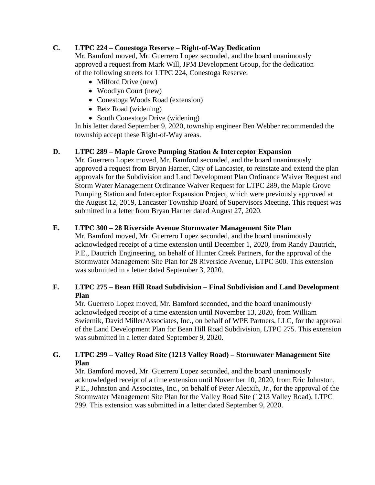#### **C. LTPC 224 – Conestoga Reserve – Right-of-Way Dedication**

Mr. Bamford moved, Mr. Guerrero Lopez seconded, and the board unanimously approved a request from Mark Will, JPM Development Group, for the dedication of the following streets for LTPC 224, Conestoga Reserve:

- Milford Drive (new)
- Woodlyn Court (new)
- Conestoga Woods Road (extension)
- Betz Road (widening)
- South Conestoga Drive (widening)

In his letter dated September 9, 2020, township engineer Ben Webber recommended the township accept these Right-of-Way areas.

## **D. LTPC 289 – Maple Grove Pumping Station & Interceptor Expansion**

Mr. Guerrero Lopez moved, Mr. Bamford seconded, and the board unanimously approved a request from Bryan Harner, City of Lancaster, to reinstate and extend the plan approvals for the Subdivision and Land Development Plan Ordinance Waiver Request and Storm Water Management Ordinance Waiver Request for LTPC 289, the Maple Grove Pumping Station and Interceptor Expansion Project, which were previously approved at the August 12, 2019, Lancaster Township Board of Supervisors Meeting. This request was submitted in a letter from Bryan Harner dated August 27, 2020.

## **E. LTPC 300 – 28 Riverside Avenue Stormwater Management Site Plan**

Mr. Bamford moved, Mr. Guerrero Lopez seconded, and the board unanimously acknowledged receipt of a time extension until December 1, 2020, from Randy Dautrich, P.E., Dautrich Engineering, on behalf of Hunter Creek Partners, for the approval of the Stormwater Management Site Plan for 28 Riverside Avenue, LTPC 300. This extension was submitted in a letter dated September 3, 2020.

#### **F. LTPC 275 – Bean Hill Road Subdivision – Final Subdivision and Land Development Plan**

Mr. Guerrero Lopez moved, Mr. Bamford seconded, and the board unanimously acknowledged receipt of a time extension until November 13, 2020, from William Swiernik, David Miller/Associates, Inc., on behalf of WPE Partners, LLC, for the approval of the Land Development Plan for Bean Hill Road Subdivision, LTPC 275. This extension was submitted in a letter dated September 9, 2020.

## **G. LTPC 299 – Valley Road Site (1213 Valley Road) – Stormwater Management Site Plan**

Mr. Bamford moved, Mr. Guerrero Lopez seconded, and the board unanimously acknowledged receipt of a time extension until November 10, 2020, from Eric Johnston, P.E., Johnston and Associates, Inc., on behalf of Peter Alecxih, Jr., for the approval of the Stormwater Management Site Plan for the Valley Road Site (1213 Valley Road), LTPC 299. This extension was submitted in a letter dated September 9, 2020.